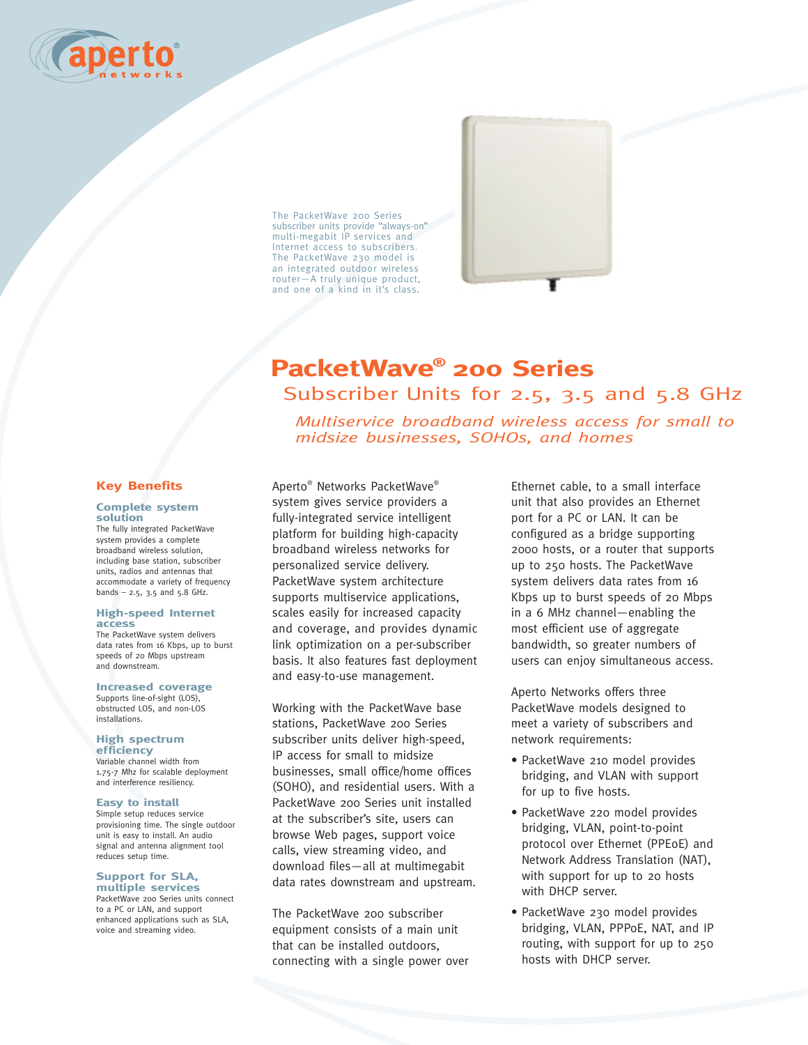

The PacketWave 200 Series subscriber units provide "always-on" multi-megabit IP services and Internet access to subscribers. The PacketWave 230 model is an integrated outdoor wireless router—A truly unique product, and one of a kind in it's class.

# **PacketWave® 200 Series** Subscriber Units for 2.5, 3.5 and 5.8 GHz

*Multiservice broadband wireless access for small to midsize businesses, SOHOs, and homes*

# **Key Benefits**

#### **Complete system solution**

The fully integrated PacketWave system provides a complete broadband wireless solution, including base station, subscriber units, radios and antennas that accommodate a variety of frequency bands – 2.5, 3.5 and 5.8 GHz.

#### **High-speed Internet access**

The PacketWave system delivers data rates from 16 Kbps, up to burst speeds of 20 Mbps upstream and downstream.

#### **Increased coverage**

Supports line-of-sight (LOS), obstructed LOS, and non-LOS **installations** 

# **High spectrum**

**efficiency** Variable channel width from 1.75-7 Mhz for scalable deployment and interference resiliency.

#### **Easy to install**

Simple setup reduces service provisioning time. The single outdoor unit is easy to install. An audio signal and antenna alignment tool reduces setup time.

#### **Support for SLA, multiple services**

PacketWave 200 Series units connect to a PC or LAN, and support enhanced applications such as SLA, voice and streaming video.

Aperto® Networks PacketWave® system gives service providers a fully-integrated service intelligent platform for building high-capacity broadband wireless networks for personalized service delivery. PacketWave system architecture supports multiservice applications, scales easily for increased capacity and coverage, and provides dynamic link optimization on a per-subscriber basis. It also features fast deployment and easy-to-use management.

Working with the PacketWave base stations, PacketWave 200 Series subscriber units deliver high-speed, IP access for small to midsize businesses, small office/home offices (SOHO), and residential users. With a PacketWave 200 Series unit installed at the subscriber's site, users can browse Web pages, support voice calls, view streaming video, and download files—all at multimegabit data rates downstream and upstream.

The PacketWave 200 subscriber equipment consists of a main unit that can be installed outdoors, connecting with a single power over Ethernet cable, to a small interface unit that also provides an Ethernet port for a PC or LAN. It can be configured as a bridge supporting 2000 hosts, or a router that supports up to 250 hosts. The PacketWave system delivers data rates from 16 Kbps up to burst speeds of 20 Mbps in a 6 MHz channel—enabling the most efficient use of aggregate bandwidth, so greater numbers of users can enjoy simultaneous access.

Aperto Networks offers three PacketWave models designed to meet a variety of subscribers and network requirements:

- PacketWave 210 model provides bridging, and VLAN with support for up to five hosts.
- PacketWave 220 model provides bridging, VLAN, point-to-point protocol over Ethernet (PPEoE) and Network Address Translation (NAT), with support for up to 20 hosts with DHCP server.
- PacketWave 230 model provides bridging, VLAN, PPPoE, NAT, and IP routing, with support for up to 250 hosts with DHCP server.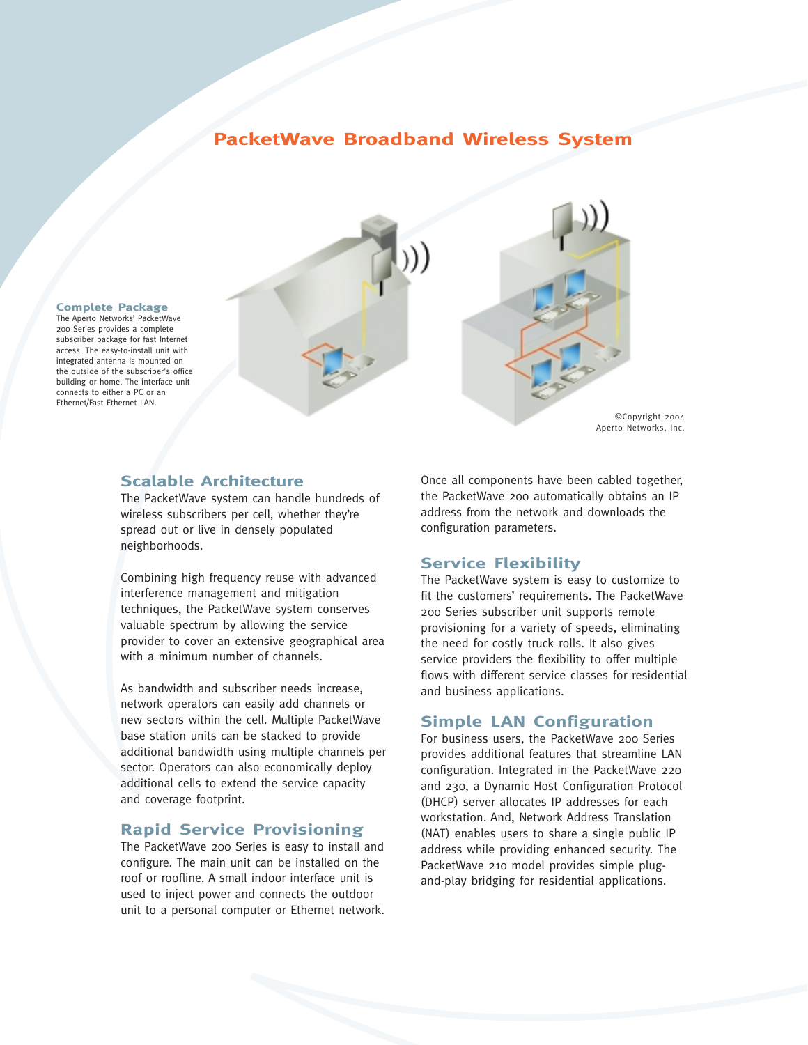# **PacketWave Broadband Wireless System**



#### **Complete Package**

The Aperto Networks' PacketWave 200 Series provides a complete subscriber package for fast Internet access. The easy-to-install unit with integrated antenna is mounted on the outside of the subscriber's office building or home. The interface unit connects to either a PC or an Ethernet/Fast Ethernet LAN.

# **Scalable Architecture**

The PacketWave system can handle hundreds of wireless subscribers per cell, whether they're spread out or live in densely populated neighborhoods.

Combining high frequency reuse with advanced interference management and mitigation techniques, the PacketWave system conserves valuable spectrum by allowing the service provider to cover an extensive geographical area with a minimum number of channels.

As bandwidth and subscriber needs increase, network operators can easily add channels or new sectors within the cell. Multiple PacketWave base station units can be stacked to provide additional bandwidth using multiple channels per sector. Operators can also economically deploy additional cells to extend the service capacity and coverage footprint.

# **Rapid Service Provisioning**

The PacketWave 200 Series is easy to install and configure. The main unit can be installed on the roof or roofline. A small indoor interface unit is used to inject power and connects the outdoor unit to a personal computer or Ethernet network. Once all components have been cabled together, the PacketWave 200 automatically obtains an IP address from the network and downloads the configuration parameters.

# **Service Flexibility**

The PacketWave system is easy to customize to fit the customers' requirements. The PacketWave 200 Series subscriber unit supports remote provisioning for a variety of speeds, eliminating the need for costly truck rolls. It also gives service providers the flexibility to offer multiple flows with different service classes for residential and business applications.

## **Simple LAN Configuration**

For business users, the PacketWave 200 Series provides additional features that streamline LAN configuration. Integrated in the PacketWave 220 and 230, a Dynamic Host Configuration Protocol (DHCP) server allocates IP addresses for each workstation. And, Network Address Translation (NAT) enables users to share a single public IP address while providing enhanced security. The PacketWave 210 model provides simple plugand-play bridging for residential applications.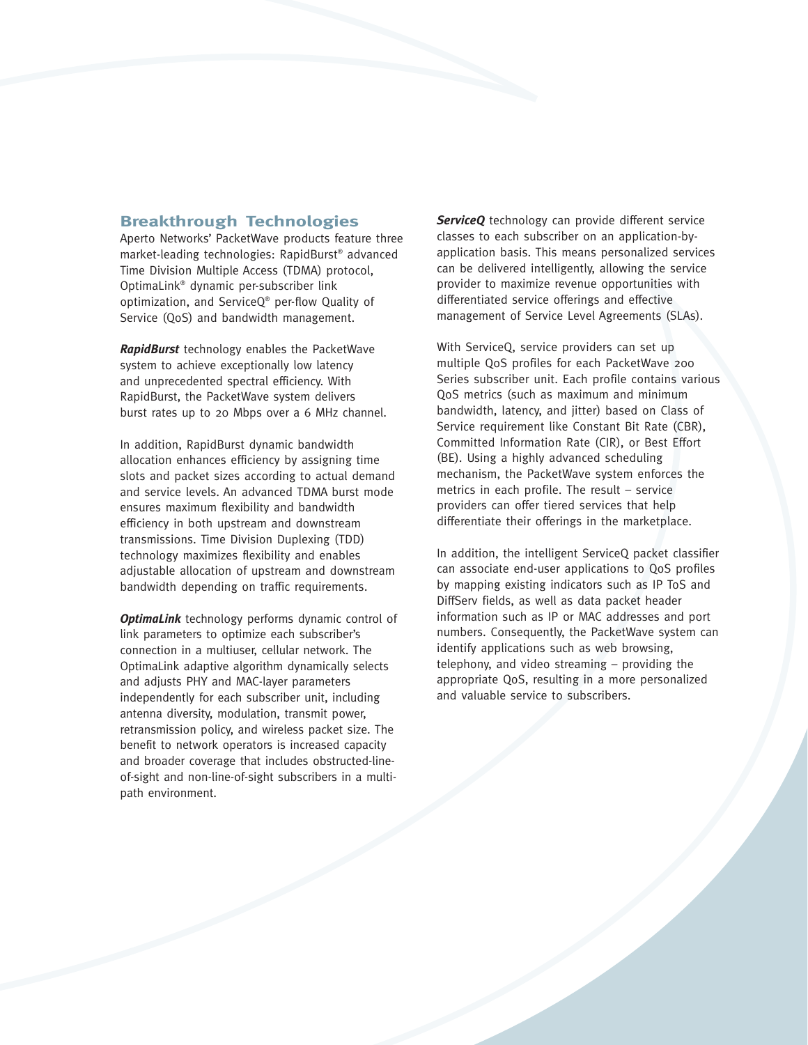# **Breakthrough Technologies**

Aperto Networks' PacketWave products feature three market-leading technologies: RapidBurst® advanced Time Division Multiple Access (TDMA) protocol, OptimaLink® dynamic per-subscriber link optimization, and ServiceQ® per-flow Quality of Service (QoS) and bandwidth management.

*RapidBurst* technology enables the PacketWave system to achieve exceptionally low latency and unprecedented spectral efficiency. With RapidBurst, the PacketWave system delivers burst rates up to 20 Mbps over a 6 MHz channel.

In addition, RapidBurst dynamic bandwidth allocation enhances efficiency by assigning time slots and packet sizes according to actual demand and service levels. An advanced TDMA burst mode ensures maximum flexibility and bandwidth efficiency in both upstream and downstream transmissions. Time Division Duplexing (TDD) technology maximizes flexibility and enables adjustable allocation of upstream and downstream bandwidth depending on traffic requirements.

*OptimaLink* technology performs dynamic control of link parameters to optimize each subscriber's connection in a multiuser, cellular network. The OptimaLink adaptive algorithm dynamically selects and adjusts PHY and MAC-layer parameters independently for each subscriber unit, including antenna diversity, modulation, transmit power, retransmission policy, and wireless packet size. The benefit to network operators is increased capacity and broader coverage that includes obstructed-lineof-sight and non-line-of-sight subscribers in a multipath environment.

**ServiceQ** technology can provide different service classes to each subscriber on an application-byapplication basis. This means personalized services can be delivered intelligently, allowing the service provider to maximize revenue opportunities with differentiated service offerings and effective management of Service Level Agreements (SLAs).

With ServiceQ, service providers can set up multiple QoS profiles for each PacketWave 200 Series subscriber unit. Each profile contains various QoS metrics (such as maximum and minimum bandwidth, latency, and jitter) based on Class of Service requirement like Constant Bit Rate (CBR), Committed Information Rate (CIR), or Best Effort (BE). Using a highly advanced scheduling mechanism, the PacketWave system enforces the metrics in each profile. The result – service providers can offer tiered services that help differentiate their offerings in the marketplace.

In addition, the intelligent ServiceQ packet classifier can associate end-user applications to QoS profiles by mapping existing indicators such as IP ToS and DiffServ fields, as well as data packet header information such as IP or MAC addresses and port numbers. Consequently, the PacketWave system can identify applications such as web browsing, telephony, and video streaming – providing the appropriate QoS, resulting in a more personalized and valuable service to subscribers.